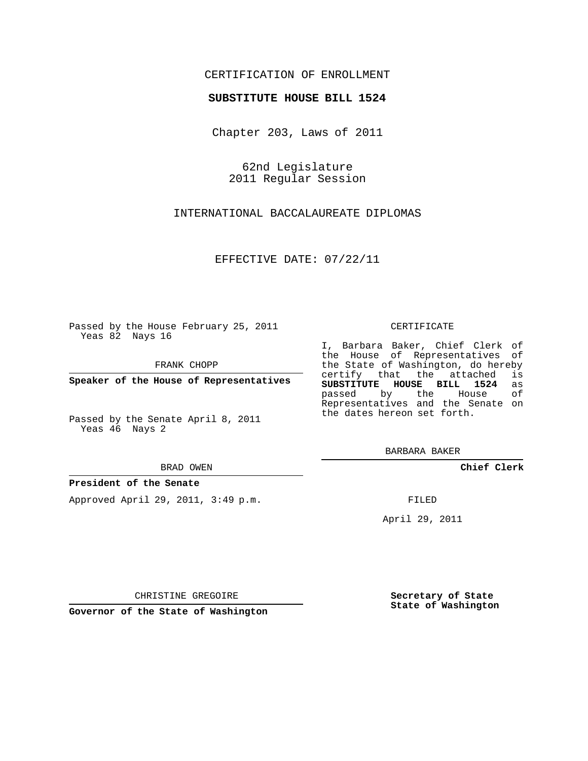## CERTIFICATION OF ENROLLMENT

## **SUBSTITUTE HOUSE BILL 1524**

Chapter 203, Laws of 2011

62nd Legislature 2011 Regular Session

INTERNATIONAL BACCALAUREATE DIPLOMAS

EFFECTIVE DATE: 07/22/11

Passed by the House February 25, 2011 Yeas 82 Nays 16

FRANK CHOPP

**Speaker of the House of Representatives**

Passed by the Senate April 8, 2011 Yeas 46 Nays 2

BRAD OWEN

## **President of the Senate**

Approved April 29, 2011, 3:49 p.m.

CERTIFICATE

I, Barbara Baker, Chief Clerk of the House of Representatives of the State of Washington, do hereby<br>certify that the attached is certify that the attached **SUBSTITUTE HOUSE BILL 1524** as passed by the Representatives and the Senate on the dates hereon set forth.

BARBARA BAKER

**Chief Clerk**

FILED

April 29, 2011

CHRISTINE GREGOIRE

**Secretary of State State of Washington**

**Governor of the State of Washington**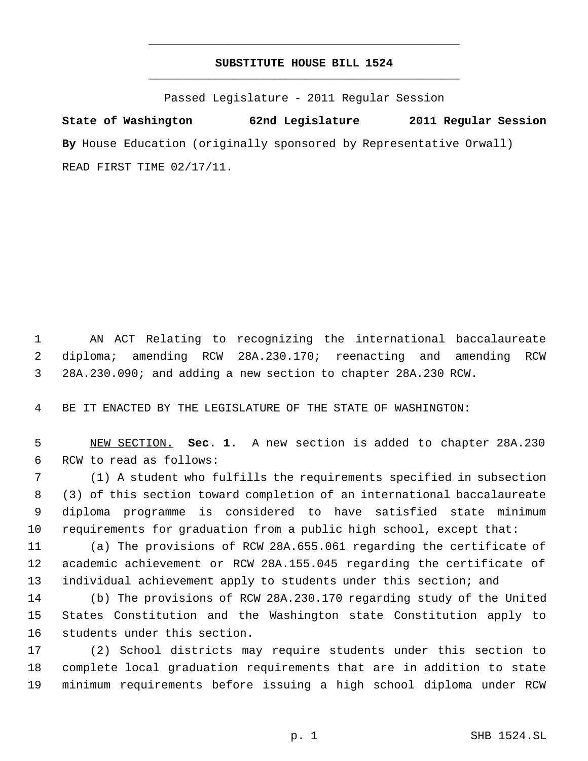## **SUBSTITUTE HOUSE BILL 1524** \_\_\_\_\_\_\_\_\_\_\_\_\_\_\_\_\_\_\_\_\_\_\_\_\_\_\_\_\_\_\_\_\_\_\_\_\_\_\_\_\_\_\_\_\_

\_\_\_\_\_\_\_\_\_\_\_\_\_\_\_\_\_\_\_\_\_\_\_\_\_\_\_\_\_\_\_\_\_\_\_\_\_\_\_\_\_\_\_\_\_

Passed Legislature - 2011 Regular Session

**State of Washington 62nd Legislature 2011 Regular Session By** House Education (originally sponsored by Representative Orwall) READ FIRST TIME 02/17/11.

 AN ACT Relating to recognizing the international baccalaureate diploma; amending RCW 28A.230.170; reenacting and amending RCW 28A.230.090; and adding a new section to chapter 28A.230 RCW.

BE IT ENACTED BY THE LEGISLATURE OF THE STATE OF WASHINGTON:

 NEW SECTION. **Sec. 1.** A new section is added to chapter 28A.230 RCW to read as follows:

 (1) A student who fulfills the requirements specified in subsection (3) of this section toward completion of an international baccalaureate diploma programme is considered to have satisfied state minimum requirements for graduation from a public high school, except that:

 (a) The provisions of RCW 28A.655.061 regarding the certificate of academic achievement or RCW 28A.155.045 regarding the certificate of 13 individual achievement apply to students under this section; and

 (b) The provisions of RCW 28A.230.170 regarding study of the United States Constitution and the Washington state Constitution apply to students under this section.

 (2) School districts may require students under this section to complete local graduation requirements that are in addition to state minimum requirements before issuing a high school diploma under RCW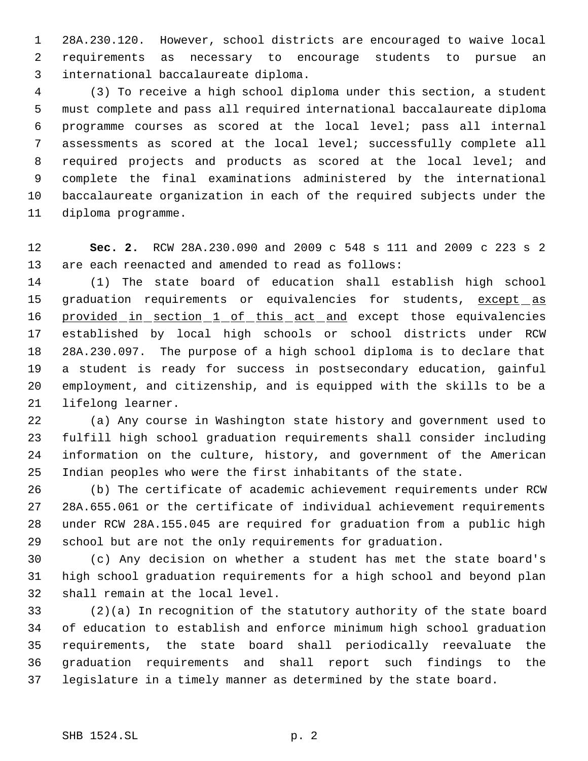28A.230.120. However, school districts are encouraged to waive local requirements as necessary to encourage students to pursue an international baccalaureate diploma.

 (3) To receive a high school diploma under this section, a student must complete and pass all required international baccalaureate diploma programme courses as scored at the local level; pass all internal assessments as scored at the local level; successfully complete all required projects and products as scored at the local level; and complete the final examinations administered by the international baccalaureate organization in each of the required subjects under the diploma programme.

 **Sec. 2.** RCW 28A.230.090 and 2009 c 548 s 111 and 2009 c 223 s 2 are each reenacted and amended to read as follows:

 (1) The state board of education shall establish high school 15 graduation requirements or equivalencies for students, except as 16 provided in section 1 of this act and except those equivalencies established by local high schools or school districts under RCW 28A.230.097. The purpose of a high school diploma is to declare that a student is ready for success in postsecondary education, gainful employment, and citizenship, and is equipped with the skills to be a lifelong learner.

 (a) Any course in Washington state history and government used to fulfill high school graduation requirements shall consider including information on the culture, history, and government of the American Indian peoples who were the first inhabitants of the state.

 (b) The certificate of academic achievement requirements under RCW 28A.655.061 or the certificate of individual achievement requirements under RCW 28A.155.045 are required for graduation from a public high school but are not the only requirements for graduation.

 (c) Any decision on whether a student has met the state board's high school graduation requirements for a high school and beyond plan shall remain at the local level.

 (2)(a) In recognition of the statutory authority of the state board of education to establish and enforce minimum high school graduation requirements, the state board shall periodically reevaluate the graduation requirements and shall report such findings to the legislature in a timely manner as determined by the state board.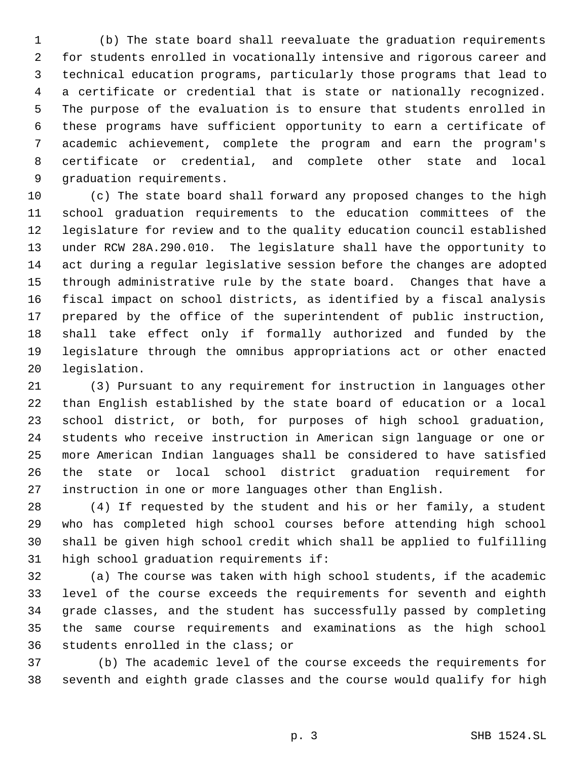1 (b) The state board shall reevaluate the graduation requirements for students enrolled in vocationally intensive and rigorous career and technical education programs, particularly those programs that lead to a certificate or credential that is state or nationally recognized. The purpose of the evaluation is to ensure that students enrolled in these programs have sufficient opportunity to earn a certificate of academic achievement, complete the program and earn the program's certificate or credential, and complete other state and local graduation requirements.

 (c) The state board shall forward any proposed changes to the high school graduation requirements to the education committees of the legislature for review and to the quality education council established under RCW 28A.290.010. The legislature shall have the opportunity to act during a regular legislative session before the changes are adopted through administrative rule by the state board. Changes that have a fiscal impact on school districts, as identified by a fiscal analysis prepared by the office of the superintendent of public instruction, shall take effect only if formally authorized and funded by the legislature through the omnibus appropriations act or other enacted legislation.

 (3) Pursuant to any requirement for instruction in languages other than English established by the state board of education or a local school district, or both, for purposes of high school graduation, students who receive instruction in American sign language or one or more American Indian languages shall be considered to have satisfied the state or local school district graduation requirement for instruction in one or more languages other than English.

 (4) If requested by the student and his or her family, a student who has completed high school courses before attending high school shall be given high school credit which shall be applied to fulfilling high school graduation requirements if:

 (a) The course was taken with high school students, if the academic level of the course exceeds the requirements for seventh and eighth grade classes, and the student has successfully passed by completing the same course requirements and examinations as the high school students enrolled in the class; or

37 (b) The academic level of the course exceeds the requirements for seventh and eighth grade classes and the course would qualify for high